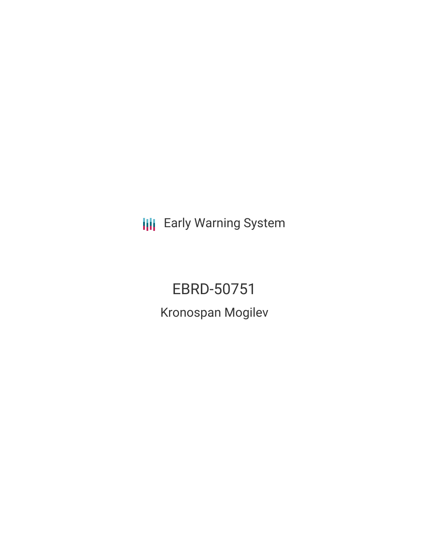**III** Early Warning System

EBRD-50751 Kronospan Mogilev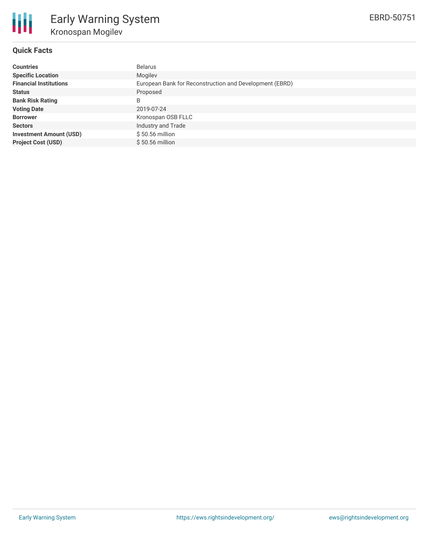

#### **Quick Facts**

| <b>Countries</b>               | <b>Belarus</b>                                          |
|--------------------------------|---------------------------------------------------------|
| <b>Specific Location</b>       | Mogilev                                                 |
| <b>Financial Institutions</b>  | European Bank for Reconstruction and Development (EBRD) |
| <b>Status</b>                  | Proposed                                                |
| <b>Bank Risk Rating</b>        | B                                                       |
| <b>Voting Date</b>             | 2019-07-24                                              |
| <b>Borrower</b>                | Kronospan OSB FLLC                                      |
| <b>Sectors</b>                 | Industry and Trade                                      |
| <b>Investment Amount (USD)</b> | \$50.56 million                                         |
| <b>Project Cost (USD)</b>      | $$50.56$ million                                        |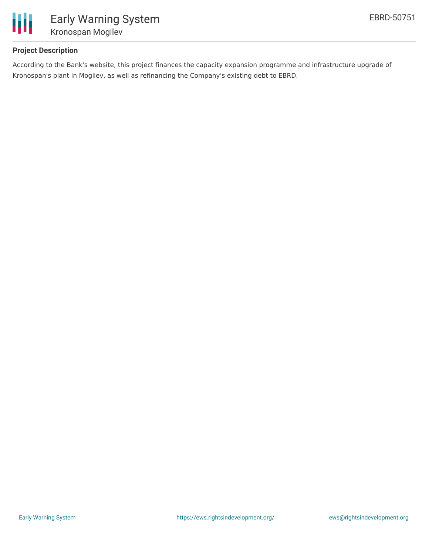

## **Project Description**

According to the Bank's website, this project finances the capacity expansion programme and infrastructure upgrade of Kronospan's plant in Mogilev, as well as refinancing the Company's existing debt to EBRD.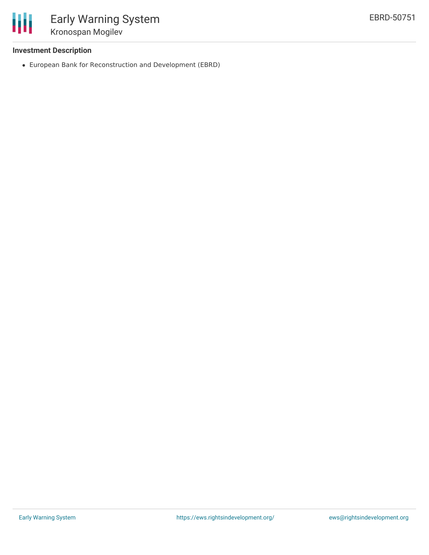

## **Investment Description**

European Bank for Reconstruction and Development (EBRD)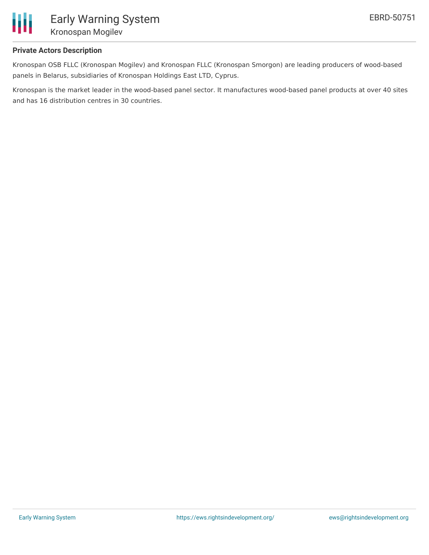

## **Private Actors Description**

Kronospan OSB FLLC (Kronospan Mogilev) and Kronospan FLLC (Kronospan Smorgon) are leading producers of wood-based panels in Belarus, subsidiaries of Kronospan Holdings East LTD, Cyprus.

Kronospan is the market leader in the wood-based panel sector. It manufactures wood-based panel products at over 40 sites and has 16 distribution centres in 30 countries.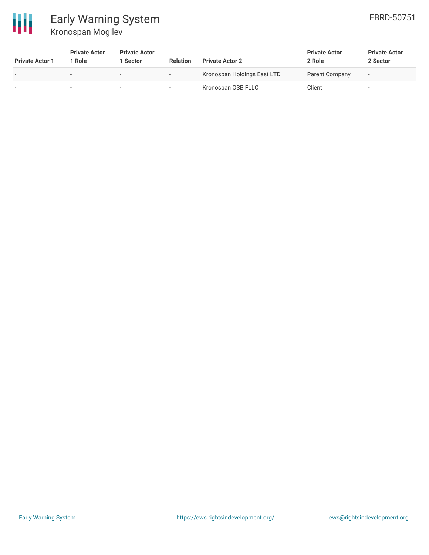

# Early Warning System Kronospan Mogilev

| <b>Private Actor 1</b>   | <b>Private Actor</b><br>1 Role | <b>Private Actor</b><br>1 Sector | <b>Relation</b> | <b>Private Actor 2</b>      | <b>Private Actor</b><br>2 Role | <b>Private Actor</b><br>2 Sector |
|--------------------------|--------------------------------|----------------------------------|-----------------|-----------------------------|--------------------------------|----------------------------------|
| $\overline{\phantom{a}}$ | $\sim$                         |                                  | $\sim$          | Kronospan Holdings East LTD | Parent Company                 | $\overline{\phantom{a}}$         |
|                          |                                |                                  |                 | Kronospan OSB FLLC          | Client                         | $\overline{\phantom{a}}$         |